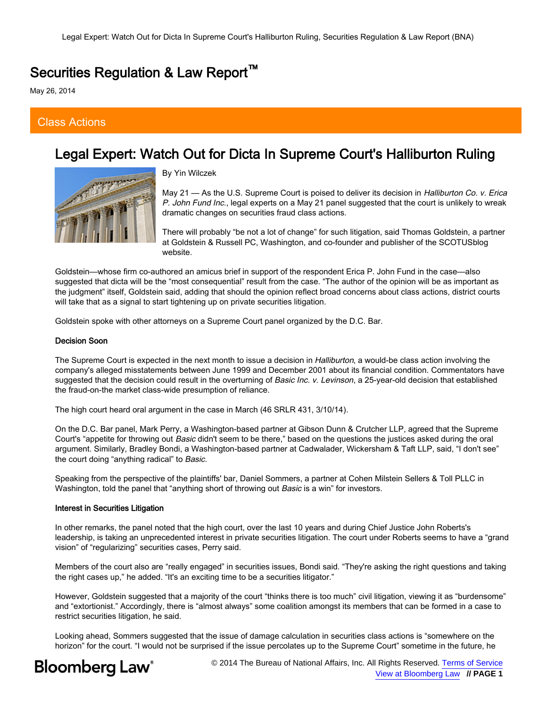## Securities Regulation & Law Report<sup>™</sup>

May 26, 2014

### Class Actions

# Legal Expert: Watch Out for Dicta In Supreme Court's Halliburton Ruling



By Yin Wilczek

May 21 — As the U.S. Supreme Court is poised to deliver its decision in *Halliburton Co. v. Erica* P. John Fund Inc., legal experts on a May 21 panel suggested that the court is unlikely to wreak dramatic changes on securities fraud class actions.

There will probably "be not a lot of change" for such litigation, said Thomas Goldstein, a partner at Goldstein & Russell PC, Washington, and co-founder and publisher of the SCOTUSblog website.

Goldstein—whose firm co-authored an amicus brief in support of the respondent Erica P. John Fund in the case—also suggested that dicta will be the "most consequential" result from the case. "The author of the opinion will be as important as the judgment" itself, Goldstein said, adding that should the opinion reflect broad concerns about class actions, district courts will take that as a signal to start tightening up on private securities litigation.

Goldstein spoke with other attorneys on a Supreme Court panel organized by the D.C. Bar.

### Decision Soon

The Supreme Court is expected in the next month to issue a decision in Halliburton, a would-be class action involving the company's alleged misstatements between June 1999 and December 2001 about its financial condition. Commentators have suggested that the decision could result in the overturning of Basic Inc. v. Levinson, a 25-year-old decision that established the fraud-on-the market class-wide presumption of reliance.

The high court heard oral argument in the case in March (46 SRLR 431, 3/10/14).

On the D.C. Bar panel, Mark Perry, a Washington-based partner at Gibson Dunn & Crutcher LLP, agreed that the Supreme Court's "appetite for throwing out Basic didn't seem to be there," based on the questions the justices asked during the oral argument. Similarly, Bradley Bondi, a Washington-based partner at Cadwalader, Wickersham & Taft LLP, said, "I don't see" the court doing "anything radical" to Basic.

Speaking from the perspective of the plaintiffs' bar, Daniel Sommers, a partner at Cohen Milstein Sellers & Toll PLLC in Washington, told the panel that "anything short of throwing out Basic is a win" for investors.

### Interest in Securities Litigation

In other remarks, the panel noted that the high court, over the last 10 years and during Chief Justice John Roberts's leadership, is taking an unprecedented interest in private securities litigation. The court under Roberts seems to have a "grand vision" of "regularizing" securities cases, Perry said.

Members of the court also are "really engaged" in securities issues, Bondi said. "They're asking the right questions and taking the right cases up," he added. "It's an exciting time to be a securities litigator."

However, Goldstein suggested that a majority of the court "thinks there is too much" civil litigation, viewing it as "burdensome" and "extortionist." Accordingly, there is "almost always" some coalition amongst its members that can be formed in a case to restrict securities litigation, he said.

Looking ahead, Sommers suggested that the issue of damage calculation in securities class actions is "somewhere on the horizon" for the court. "I would not be surprised if the issue percolates up to the Supreme Court" sometime in the future, he



© 2014 The Bureau of National Affairs, Inc. All Rights Reserved. [Terms of Service](http://www.bloomberglaw.com/ms/public/document/Terms_of_Service) [View at Bloomberg Law](http://www.bloomberglaw.com/ms/search/results/7fece2b77da4a1664d5ab32cc93f62ef/document/XCK45EG8000000) **// PAGE 1**